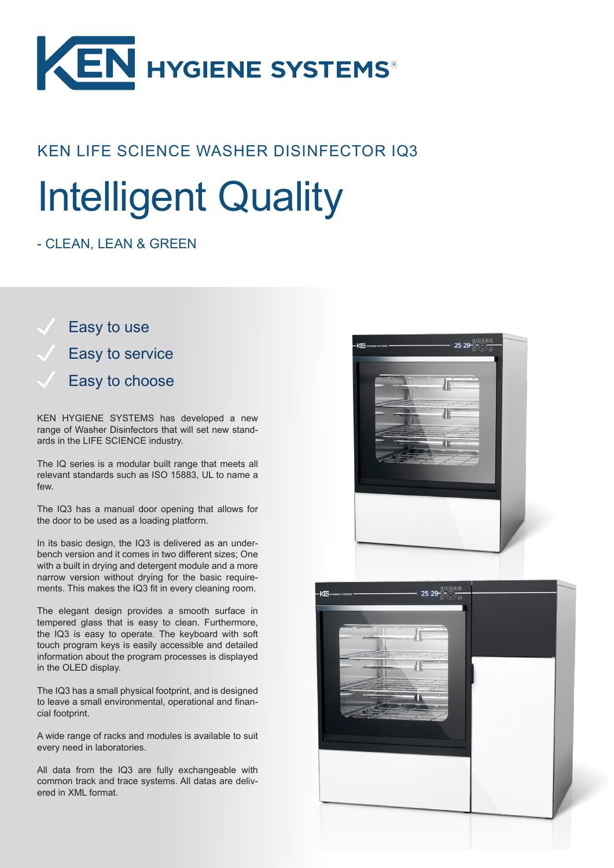

### KEN LIFE SCIENCE WASHER DISINFECTOR IQ3

# Intelligent Quality

#### - CLEAN, LEAN & GREEN

Easy to use Easy to service Easy to choose

KEN HYGIENE SYSTEMS has developed a new range of Washer Disinfectors that will set new standards in the LIFE SCIENCE industry.

The IQ series is a modular built range that meets all relevant standards such as ISO 15883, UL to name a few.

The IQ3 has a manual door opening that allows for the door to be used as a loading platform.

In its basic design, the IQ3 is delivered as an underbench version and it comes in two different sizes; One with a built in drying and detergent module and a more narrow version without drying for the basic requirements. This makes the IQ3 fit in every cleaning room.

The elegant design provides a smooth surface in tempered glass that is easy to clean. Furthermore, the IQ3 is easy to operate. The keyboard with soft touch program keys is easily accessible and detailed information about the program processes is displayed in the OLED display.

The IQ3 has a small physical footprint, and is designed to leave a small environmental, operational and financial footprint.

A wide range of racks and modules is available to suit every need in laboratories.

All data from the IQ3 are fully exchangeable with common track and trace systems. All datas are delivered in XML format.